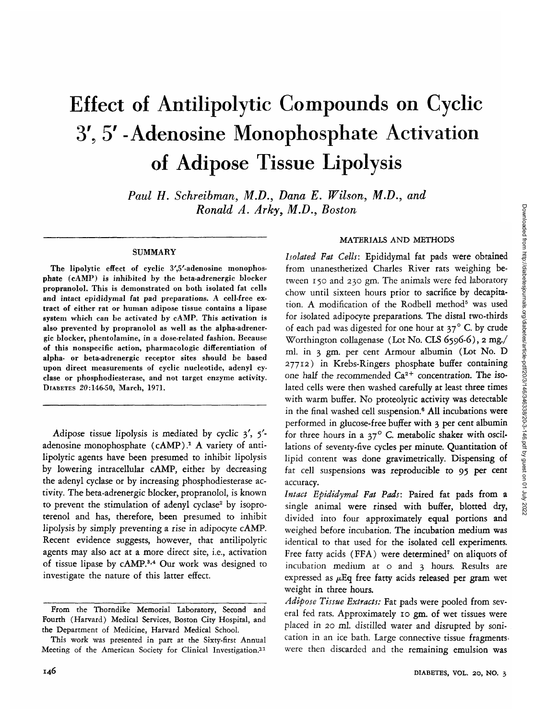# Effect of Antilipolytic Compounds on Cyclic 3'5 5' -Adenosine Monophosphate Activation of Adipose Tissue Lipolysis

*Paul H. Schreibman, M.D., Dana E. Wilson, M.D., and Ronald A. Arky, M.D., Boston*

#### SUMMARY

The lipolytic effect of cyclic 3',5'-adenosine monophosphate (cAMP) is inhibited by the beta-adrenergic blocker propranolol. This is demonstrated on both isolated fat cells and intact epididymal fat pad preparations. A cell-free extract of either rat or human adipose tissue contains a lipase system which can be activated by cAMP. This activation is also prevented by propranolol as well as the alpha-adrenergic blocker, phentolamine, in a dose-related fashion. Because of this nonspecific action, pharmacologic differentiation of alpha- or beta-adrenergic receptor sites should be based upon direct measurements of cyclic nucleotide, adenyl cyclase or phosphodiesterase, and not target enzyme activity. DIABETES 20:146-50, March, 1971.

Adipose tissue lipolysis is mediated by cyclic 3', 5' adenosine monophosphate (cAMP).<sup>1</sup> A variety of antilipolytic agents have been presumed to inhibit lipolysis by lowering intracellular cAMP, either by decreasing the adenyl cyclase or by increasing phosphodiesterase activity. The beta-adrenergic blocker, propranolol, is known to prevent the stimulation of adenyl cyclase<sup>2</sup> by isoproterenol and has, therefore, been presumed to inhibit lipolysis by simply preventing a rise in adipocyte cAMP. Recent evidence suggests, however, that antilipolytic agents may also act at a more direct site, i.e., activation of tissue lipase by cAMP.<sup>3,4</sup> Our work was designed to investigate the nature of this latter effect.

## MATERIALS AND METHODS

*Isolated Fat Cells:* Epididymal fat pads were obtained from unanesthetized Charles River rats weighing between 150 and 230 gm. The animals were fed laboratory chow until sixteen hours prior to sacrifice by decapitation. A modification of the Rodbell method<sup>5</sup> was used for isolated adipocyte preparations. The distal two-thirds of each pad was digested for one hour at  $37^\circ$  C. by crude Worthington collagenase (Lot No. CLS 6596-6), 2 mg./ ml. in 3 gm. per cent Armour albumin (Lot No. D 27712) in Krebs-Ringers phosphate buffer containing one half the recommended  $Ca^{2+}$  concentration. The isolated cells were then washed carefully at least three times with warm buffer. No proteolytic activity was detectable in the final washed cell suspension.<sup>6</sup> All incubations were performed in glucose-free buffer with 3 per cent albumin for three hours in a  $37^\circ$  C. metabolic shaker with oscillations of seventy-five cycles per minute. Quantitation of lipid content was done gravimetrically. Dispensing of fat cell suspensions was reproducible to 95 per cent accuracy.

*Intact Epididymal Fat Pads:* Paired fat pads from a single animal were rinsed with buffer, blotted dry, divided into four approximately equal portions and weighed before incubation. The incubation medium was identical to that used for the isolated cell experiments. Free fatty acids (FFA) were determined<sup>7</sup> on aliquots of incubation medium at o and 3 hours. Results are expressed as  $\mu$ Eq free fatty acids released per gram wet weight in three hours.

*Adipose Tissue Extracts:* Fat pads were pooled from several fed rats. Approximately 10 gm. of wet tissues were placed in 20 ml. distilled water and disrupted by sonication in an ice bath. Large connective tissue fragmentswere then discarded and the remaining emulsion was

From the Thorndike Memorial Laboratory, Second and Fourth (Harvard) Medical Services, Boston City Hospital, and the Department of Medicine, Harvard Medical School.

This work was presented in part at the Sixty-first Annual Meeting of the American Society for Clinical Investigation.11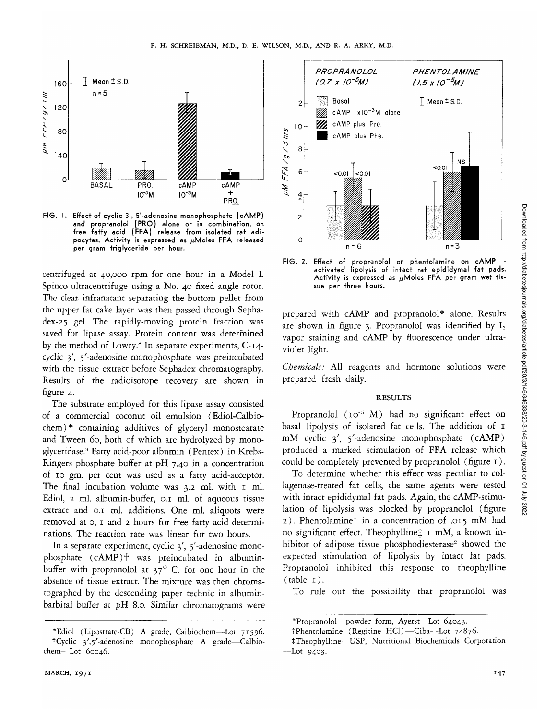

FIG. I. Effect of cyclic 3', 5'-adenosine monophosphate (cAMP) and propranolol (PRO) alone or in combination, on free fatty acid (FFA) release from isolated rat adipocytes. Activity is expressed as  $\mu$ Moles FFA released per gram triglyceride per hour.

centrifuged at 40,000 rpm for one hour in a Model L Spinco ultracentrifuge using a No. 40 fixed angle rotor. The clear, infranatant separating the bottom pellet from the upper fat cake layer was then passed through Sephadex-25 gel. The rapidly-moving protein fraction was saved for lipase assay. Protein content was determined by the method of Lowry.<sup>8</sup> In separate experiments, C-14cyclic 3', 5'-adenosine monophosphate was preincubated with the tissue extract before Sephadex chromatography. Results of the radioisotope recovery are shown in figure 4.

The substrate employed for this lipase assay consisted of a commercial coconut oil emulsion (Ediol-Calbiochem) \* containing additives of glyceryl monostearate and Tween 60, both of which are hydrolyzed by monoglyceridase.9 Fatty acid-poor albumin (Pentex) in Krebs-Ringers phosphate buffer at pH 7.40 in a concentration of 10 gm. per cent was used as a fatty acid-acceptor. The final incubation volume was 3.2 ml. with 1 ml. Ediol, 2 ml. albumin-buffer, 0.1 ml. of aqueous tissue extract and 0.1 ml. additions. One ml. aliquots were removed at o, 1 and 2 hours for free fatty acid determinations. The reaction rate was linear for two hours.

In a separate experiment, cyclic 3', 5'-adenosine monophosphate (cAMP)f was preincubated in albuminbuffer with propranolol at  $37^\circ$  C. for one hour in the absence of tissue extract. The mixture was then chromatographed by the descending paper technic in albuminbarbital buffer at pH 8.0. Similar chromatograms were



FIG. 2. Effect of propranolol or phentolamine on cAMP activated lipolysis of intact rat epididymal fat pads. Activity is expressed as  $\mu$ Moles FFA per gram wet tissue per three hours.

prepared with cAMP and propranolol\* alone. Results are shown in figure 3. Propranolol was identified by  $I_2$ vapor staining and cAMP by fluorescence under ultraviolet light.

*Chemicals:* All reagents and hormone solutions were prepared fresh daily.

## **RESULTS**

Propranolol (10<sup>-5</sup> M) had no significant effect on basal lipolysis of isolated fat cells. The addition of 1 mM cyclic 3', 5/ -adenosine monophosphate (cAMP) produced a marked stimulation of FFA release which could be completely prevented by propranolol (figure 1).

To determine whether this effect was peculiar to collagenase-treated fat cells, the same agents were tested with intact epididymal fat pads. Again, the cAMP-stimulation of lipolysis was blocked by propranolol (figure 2). Phentolaminet in a concentration of .015 mM had no significant effect. Theophylline $\pm$  1 mM, a known inhibitor of adipose tissue phosphodiesterase<sup>2</sup> showed the expected stimulation of lipolysis by intact fat pads. Propranolol inhibited this response to theophylline  $(table 1).$ 

To rule out the possibility that propranolol was

<sup>\*</sup>Ediol (Lipostrate-CB) A grade, Calbiochem—Lot 71596. tCyclic 3',5'-adenosine monophosphate A grade—Calbiochem-Lot 60046.

<sup>\*</sup> Propranolol—powder form, Ayerst—Lot 64043.

tPhentolamine (Regitine HC1)—Ciba—Lot 74876.

<sup>+</sup>Theophylline—USP, Nutritional Biochemicals Corporation —Lot 9403.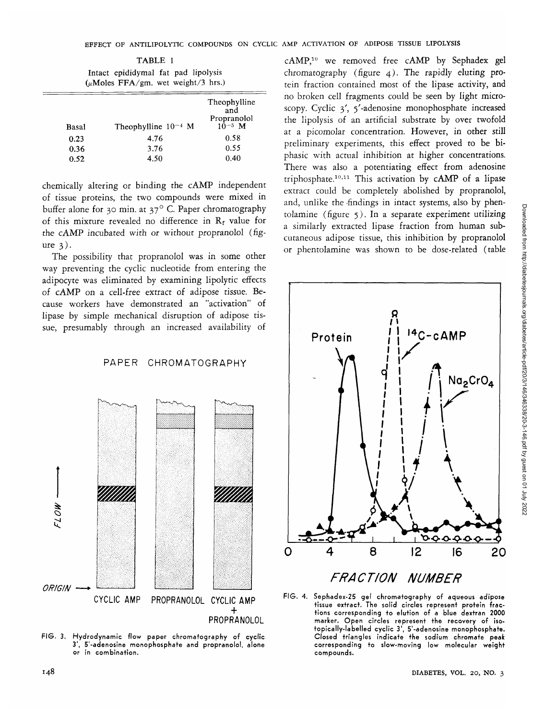TABLE 1 Intact epididymal fat pad lipolysis (uMoles FFA/gm. wet weight/3 hrs.)

| Basal | Theophylline $10^{-4}$ M | Theophylline<br>and<br>Propranolol<br>$10^{-5}$ M |
|-------|--------------------------|---------------------------------------------------|
| 0.23  | 4.76                     | 0.58                                              |
| 0.36  | 3.76                     | 0.55                                              |
| 0.52  | 4.50                     | 0.40                                              |

chemically altering or binding the cAMP independent of tissue proteins, the two compounds were mixed in buffer alone for 30 min. at 37° C. Paper chromatography of this mixture revealed no difference in  $R_f$  value for the cAMP incubated with or without propranolol (figure 3).

The possibility that propranolol was in some other way preventing the cyclic nucleotide from entering the adipocyte was eliminated by examining lipolytic effects of cAMP on a cell-free extract of adipose tissue. Because workers have demonstrated an "activation" of lipase by simple mechanical disruption of adipose tissue, presumably through an increased availability of

# PAPER CHROMATOGRAPHY



FIG. 3. Hydrodynamic flow paper chromatography of cyclic 3', 5'-adenosine monophosphate and propranolol, alone or in combination.

cAMP,<sup>10</sup> we removed free cAMP by Sephadex gel chromatography (figure 4). The rapidly eluting protein fraction contained most of the lipase activity, and no broken cell fragments could be seen by light microscopy. Cyclic 3', 5'-adenosine monophosphate increased the lipolysis of an artificial substrate by over twofold at a picomolar concentration. However, in other still preliminary experiments, this effect proved to be biphasic with actual inhibition at higher concentrations. There was also a potentiating effect from adenosine triphosphate.<sup>10,11</sup> This activation by  $cAMP$  of a lipase extract could be completely abolished by propranolol, and, unlike the findings in intact systems, also by phentolamine (figure 5). In a separate experiment utilizing a similarly extracted lipase fraction from human subcutaneous adipose tissue, this inhibition by propranolol or phentolamine was shown to be dose-related (table



FIG. 4. Sephadex-25 gel chromatography of aqueous adipose tissue extract. The solid circles represent protein fractions corresponding to elution of a blue dextran 2000 marker. Open circles represent the recovery of isotopically-labelled cyclic 3', 5'-adenosine monophosphate. Closed triangles indicate the sodium chromate peak corresponding to slow-moving low molecular weight compounds.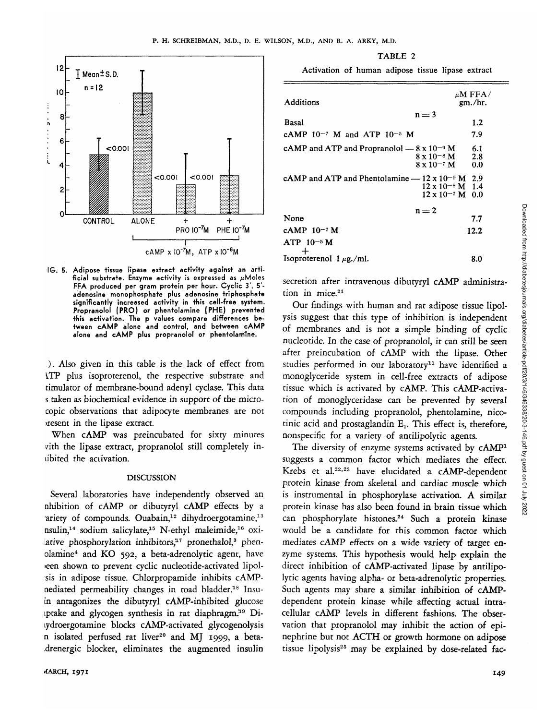

**IG. 5. Adipose tissue lipase extract activity against an arti**ficial substrate. Enzyme activity is expressed as  $\mu$ Moles **FFA produced per gram protein per hour. Cyclic 3', 51 adenosine monophosphate plus adenosine triphosphate significantly increased activity in this cell-free system. Propranolol (PRO) or phentolamine (PHE) prevented this activation. The p values compare differences between cAMP alone and control, and between cAMP alone and cAMP plus propranolol or phentolamtne.**

). Also given in this table is the lack of effect from ^TP plus isoproterenol, the respective substrate and timulator of membrane-bound adenyl cyclase. This data s taken as biochemical evidence in support of the microcopic observations that adipocyte membranes are not >resent in the lipase extract.

When cAMP was preincubated for sixty minutes *vith the lipase extract, propranolol still completely in*libited the aciivation.

### DISCUSSION

Several laboratories have independently observed an nhibition of cAMP or dibutyryl cAMP effects by a ariety of compounds. Ouabain,<sup>12</sup> dihydroergotamine,<sup>13</sup> nsulin,<sup>14</sup> sodium salicylate,<sup>15</sup> N-ethyl maleimide,<sup>16</sup> oxilative phosphorylation inhibitors,<sup>17</sup> pronethalol,<sup>3</sup> phenolamine4 and KO 592, a beta-adrenolytic agent, have •een shown to prevent cyclic nucleotide-activated lipolsis in adipose tissue. Chlorpropamide inhibits cAMPnediated permeability changes in toad bladder.<sup>18</sup> Insuin antagonizes the dibutyryl cAMP-inhibited glucose tptake and glycogen synthesis in rat diaphragm.<sup>19</sup> Dilydroergotamine blocks cAMP-activated glycogenolysis n isolated perfused rat liver<sup>20</sup> and MJ 1999, a beta-.drenergic blocker, eliminates the augmented insulin

TABLE 2

Activation of human adipose tissue lipase extract

| Additions                                                                                                          | $\mu$ M FFA/<br>gm./hr. |
|--------------------------------------------------------------------------------------------------------------------|-------------------------|
| $n = 3$<br>Basal                                                                                                   | 1.2                     |
| cAMP $10^{-7}$ M and ATP $10^{-5}$ M                                                                               | 7.9                     |
| cAMP and ATP and Propranolol $- 8 \times 10^{-9}$ M<br>$8 \times 10^{-8}$ M<br>$8 \times 10^{-7}$ M                | 6.1<br>2.8<br>0.0       |
| cAMP and ATP and Phentolamine $-12 \times 10^{-9}$ M 2.9<br>$12 \times 10^{-8}$ M 1.4<br>$12 \times 10^{-7}$ M 0.0 |                         |
| $n = 2$<br>None                                                                                                    | 7.7                     |
| cAMP 10-7 M<br>$ATP 10-5 M$                                                                                        | 12.2                    |
| Isoproterenol $1 \mu$ g./ml.                                                                                       | 8.0                     |
|                                                                                                                    |                         |

secretion after intravenous dibutyryl cAMP administration in mice.<sup>21</sup>

Our findings with human and rat adipose tissue lipolysis suggest that this type of inhibition is independent of membranes and is not a simple binding of cyclic nucleotide. In the case of propranolol, it can still be seen after preincubation of cAMP with the lipase. Other studies performed in our laboratory<sup>11</sup> have identified a monoglyceride system in cell-free extracts of adipose tissue which is activated by cAMP. This cAMP-activation of monoglyceridase can be prevented by several compounds including propranolol, phentolamine, nicotinic acid and prostaglandin  $E_1$ . This effect is, therefore, nonspecific for a variety of antilipolytic agents.

The diversity of enzyme systems activated by cAMP<sup>1</sup> suggests a common factor which mediates the effect. Krebs et al.<sup>22,23</sup> have elucidated a cAMP-dependent protein kinase from skeletal and cardiac muscle which is instrumental in phosphorylase activation. A similar protein kinase has also been found in brain tissue which can phosphorylate histones.<sup>24</sup> Such a protein kinase would be a candidate for this common factor which mediates cAMP effects on a wide variety of target enzyme systems. This hypothesis would help explain the direct inhibition of cAMP-activated lipase by antilipolytic agents having alpha- or beta-adrenolytic properties. Such agents may share a similar inhibition of cAMPdependent protein kinase while affecting actual intracellular cAMP levels in different fashions. The observation that propranolol may inhibit the action of epinephrine but not ACTH or growth hormone on adipose tissue lipolysis25 may be explained by dose-related fac